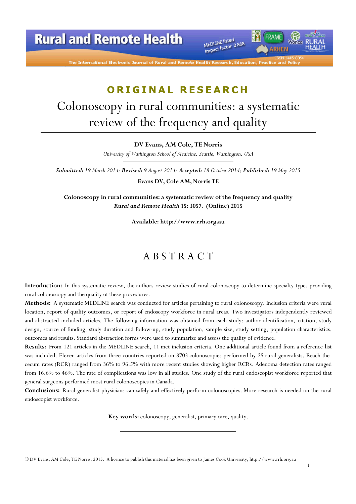**Rural and Remote Health** 

MEDLINE listed MEDLINE listed<br>Impact factor 0.868

The International Electronic Journal of Rural and Remot

### ORIGINAL RESEARCH

# Colonoscopy in rural communities: a systematic review of the frequency and quality

#### DV Evans, AM Cole, TE Norris

University of Washington School of Medicine, Seattle, Washington, USA

Submitted: 19 March 2014; Revised: 9 August 2014; Accepted: 18 October 2014; Published: 19 May 2015

Evans DV, Cole AM, Norris TE

Colonoscopy in rural communities: a systematic review of the frequency and quality Rural and Remote Health 15: 3057. (Online) 2015

Available: http://www.rrh.org.au

### A B S T R A C T

Introduction: In this systematic review, the authors review studies of rural colonoscopy to determine specialty types providing rural colonoscopy and the quality of these procedures.

Methods: A systematic MEDLINE search was conducted for articles pertaining to rural colonoscopy. Inclusion criteria were rural location, report of quality outcomes, or report of endoscopy workforce in rural areas. Two investigators independently reviewed and abstracted included articles. The following information was obtained from each study: author identification, citation, study design, source of funding, study duration and follow-up, study population, sample size, study setting, population characteristics, outcomes and results. Standard abstraction forms were used to summarize and assess the quality of evidence.

Results: From 121 articles in the MEDLINE search, 11 met inclusion criteria. One additional article found from a reference list was included. Eleven articles from three countries reported on 8703 colonoscopies performed by 25 rural generalists. Reach-thececum rates (RCR) ranged from 36% to 96.5% with more recent studies showing higher RCRs. Adenoma detection rates ranged from 16.6% to 46%. The rate of complications was low in all studies. One study of the rural endoscopist workforce reported that general surgeons performed most rural colonoscopies in Canada.

Conclusions: Rural generalist physicians can safely and effectively perform colonoscopies. More research is needed on the rural endoscopist workforce.

Key words: colonoscopy, generalist, primary care, quality.

1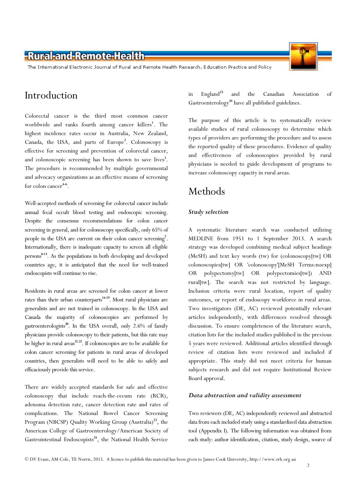The International Electronic Journal of Rural and Remote Health Research, Education Practice and Policy

### Introduction

Colorectal cancer is the third most common cancer worldwide and ranks fourth among cancer killers<sup>1</sup>. The highest incidence rates occur in Australia, New Zealand, Canada, the USA, and parts of Europe<sup>2</sup>. Colonoscopy is effective for screening and prevention of colorectal cancer, and colonoscopic screening has been shown to save lives<sup>3</sup>. The procedure is recommended by multiple governmental and advocacy organizations as an effective means of screening for colon cancer $4-6$ .

Well-accepted methods of screening for colorectal cancer include annual fecal occult blood testing and endoscopic screening. Despite the consensus recommendations for colon cancer screening in general, and for colonoscopy specifically, only 65% of people in the USA are current on their colon cancer screening<sup>7</sup>. Internationally, there is inadequate capacity to screen all eligible persons 8-13. As the populations in both developing and developed countries age, it is anticipated that the need for well-trained endoscopists will continue to rise.

Residents in rural areas are screened for colon cancer at lower rates than their urban counterparts<sup>14-19</sup>. Most rural physicians are generalists and are not trained in colonoscopy. In the USA and Canada the majority of colonoscopies are performed by gastroenterologists<sup>20</sup>. In the USA overall, only 2.6% of family physicians provide colonoscopy to their patients, but this rate may be higher in rural areas<sup>21,22</sup>. If colonoscopies are to be available for colon cancer screening for patients in rural areas of developed countries, then generalists will need to be able to safely and efficaciously provide this service.

There are widely accepted standards for safe and effective colonoscopy that include reach-the-cecum rate (RCR), adenoma detection rate, cancer detection rate and rates of complications. The National Bowel Cancer Screening Program (NBCSP) Quality Working Group (Australia)<sup>23</sup>, the American College of Gastroenterology/American Society of Gastrointestinal Endoscopists<sup>24</sup>, the National Health Service

in England<sup>25</sup> and the Canadian Association of Gastroenterology<sup>26</sup> have all published guidelines.

The purpose of this article is to systematically review available studies of rural colonoscopy to determine which types of providers are performing the procedure and to assess the reported quality of these procedures. Evidence of quality and effectiveness of colonoscopies provided by rural physicians is needed to guide development of programs to increase colonoscopy capacity in rural areas.

### Methods

#### Study selection

A systematic literature search was conducted utilizing MEDLINE from 1951 to 1 September 2013. A search strategy was developed combining medical subject headings (MeSH) and text key words (tw) for (colonoscopy[tw] OR colonoscopies[tw] OR 'colonoscopy'[MeSH Terms:noexp] OR polypectomy[tw] OR polypectomies[tw]) AND rural[tw]. The search was not restricted by language. Inclusion criteria were rural location, report of quality outcomes, or report of endoscopy workforce in rural areas. Two investigators (DE, AC) reviewed potentially relevant articles independently, with differences resolved through discussion. To ensure completeness of the literature search, citation lists for the included studies published in the previous 5 years were reviewed. Additional articles identified through review of citation lists were reviewed and included if appropriate. This study did not meet criteria for human subjects research and did not require Institutional Review Board approval.

#### Data abstraction and validity assessment

Two reviewers (DE, AC) independently reviewed and abstracted data from each included study using a standardized data abstraction tool (Appendix I). The following information was obtained from each study: author identification, citation, study design, source of

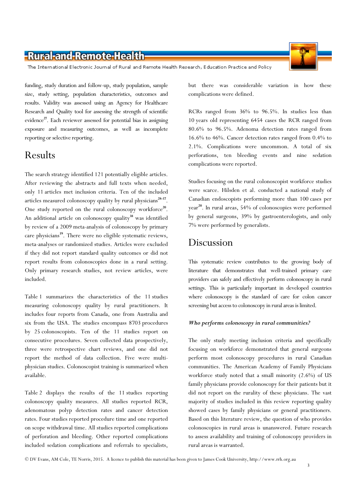The International Electronic Journal of Rural and Remote Health Research, Education Practice and Policy

funding, study duration and follow-up, study population, sample size, study setting, population characteristics, outcomes and results. Validity was assessed using an Agency for Healthcare Research and Quality tool for assessing the strength of scientific evidence<sup>27</sup>. Each reviewer assessed for potential bias in assigning exposure and measuring outcomes, as well as incomplete reporting or selective reporting.

### Results

The search strategy identified 121 potentially eligible articles. After reviewing the abstracts and full texts when needed, only 11 articles met inclusion criteria. Ten of the included articles measured colonoscopy quality by rural physicians<sup>28-37</sup>. One study reported on the rural colonoscopy workforce<sup>20</sup>. An additional article on colonoscopy quality<sup>38</sup> was identified by review of a 2009 meta-analysis of colonoscopy by primary care physicians<sup>39</sup>. There were no eligible systematic reviews, meta-analyses or randomized studies. Articles were excluded if they did not report standard quality outcomes or did not report results from colonoscopies done in a rural setting. Only primary research studies, not review articles, were included.

Table 1 summarizes the characteristics of the 11 studies measuring colonoscopy quality by rural practitioners. It includes four reports from Canada, one from Australia and six from the USA. The studies encompass 8703 procedures by 25 colonoscopists. Ten of the 11 studies report on consecutive procedures. Seven collected data prospectively, three were retrospective chart reviews, and one did not report the method of data collection. Five were multiphysician studies. Colonoscopist training is summarized when available.

Table 2 displays the results of the 11 studies reporting colonoscopy quality measures. All studies reported RCR, adenomatous polyp detection rates and cancer detection rates. Four studies reported procedure time and one reported on scope withdrawal time. All studies reported complications of perforation and bleeding. Other reported complications included sedation complications and referrals to specialists,

but there was considerable variation in how these complications were defined.

RCRs ranged from 36% to 96.5%. In studies less than 10 years old representing 6454 cases the RCR ranged from 80.6% to 96.5%. Adenoma detection rates ranged from 16.6% to 46%. Cancer detection rates ranged from 0.4% to 2.1%. Complications were uncommon. A total of six perforations, ten bleeding events and nine sedation complications were reported.

Studies focusing on the rural colonoscopist workforce studies were scarce. Hilsden et al. conducted a national study of Canadian endoscopists performing more than 100 cases per year <sup>20</sup>. In rural areas, 54% of colonoscopies were performed by general surgeons, 39% by gastroenterologists, and only 7% were performed by generalists.

### Discussion

This systematic review contributes to the growing body of literature that demonstrates that well-trained primary care providers can safely and effectively perform colonoscopy in rural settings. This is particularly important in developed countries where colonoscopy is the standard of care for colon cancer screening but access to colonoscopy in rural areas is limited.

#### Who performs colonoscopy in rural communities?

The only study meeting inclusion criteria and specifically focusing on workforce demonstrated that general surgeons perform most colonoscopy procedures in rural Canadian communities. The American Academy of Family Physicians workforce study noted that a small minority (2.6%) of US family physicians provide colonoscopy for their patients but it did not report on the rurality of these physicians. The vast majority of studies included in this review reporting quality showed cases by family physicians or general practitioners. Based on this literature review, the question of who provides colonoscopies in rural areas is unanswered. Future research to assess availability and training of colonoscopy providers in rural areas is warranted.

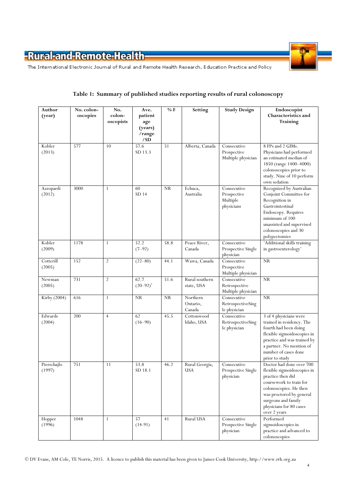

The International Electronic Journal of Rural and Remote Health Research, Education Practice and Policy

| Author<br>(year)      | No. colon-<br>oscopies | No.<br>colon-<br>oscopists | Ave.<br>patient<br>age<br>(years)<br>/range<br>/SD | % F       | Setting                        | <b>Study Design</b>                                  | Endoscopist<br>Characteristics and<br>Training                                                                                                                                                                                  |
|-----------------------|------------------------|----------------------------|----------------------------------------------------|-----------|--------------------------------|------------------------------------------------------|---------------------------------------------------------------------------------------------------------------------------------------------------------------------------------------------------------------------------------|
| Kobler<br>(2013)      | 577                    | 10                         | 57.6<br>SD 13.3                                    | 51        | Alberta, Canada                | Consecutive<br>Prospective<br>Multiple physician     | 8 FPs and 2 GIMs.<br>Physicians had performed<br>an estimated median of<br>1850 (range 1400-4000)<br>colonoscopies prior to<br>study. Nine of 10 perform<br>own sedation                                                        |
| Azzopardi<br>(2012)   | 3000                   | 1                          | 60<br>SD 14                                        | <b>NR</b> | Echuca,<br>Australia           | Consecutive<br>Prospective<br>Multiple<br>physicians | Recognized by Australian<br>Conjoint Committee for<br>Recognition in<br>Gastrointestinal<br>Endoscopy. Requires<br>minimum of 100<br>unassisted and supervised<br>colonoscopies and 30<br>polypectomies                         |
| Kobler<br>(2009)      | 1178                   | $\mathbf{1}$               | 52.2<br>$(7-92)$                                   | 58.8      | Peace River,<br>Canada         | Consecutive<br>Prospective Single<br>physician       | 'Additional skills training<br>in gastroenterology'                                                                                                                                                                             |
| Cotterill<br>(2005)   | 152                    | $\overline{2}$             | $(22 - 80)$                                        | 44.1      | Wawa, Canada                   | Consecutive<br>Prospective<br>Multiple physician     | NR                                                                                                                                                                                                                              |
| Newman<br>(2005)      | 731                    | $\overline{2}$             | 62.7<br>$(20 - 92)^{\dagger}$                      | 51.6      | Rural southern<br>state, USA   | Consecutive<br>Retrospective<br>Multiple physician   | <b>NR</b>                                                                                                                                                                                                                       |
| Kirby (2004)          | 616                    | 1                          | <b>NR</b>                                          | <b>NR</b> | Northern<br>Ontario,<br>Canada | Consecutive<br>RetrospectiveSing<br>le physician     | NR                                                                                                                                                                                                                              |
| Edwards<br>(2004)     | 200                    | $\overline{4}$             | 62<br>$(16 - 90)$                                  | 45.5      | Cottonwood<br>Idaho, USA       | Consecutive<br>RetrospectiveSing<br>le physician     | 3 of 4 physicians were<br>trained in residency. The<br>fourth had been doing<br>flexible sigmoidoscopies in<br>practice and was trained by<br>a partner. No mention of<br>number of cases done<br>prior to study                |
| Pierzchajlo<br>(1997) | 751                    | 11                         | 53.8<br>SD 18.1                                    | 46.2      | Rural Georgia,<br><b>USA</b>   | Consecutive<br>Prospective Single<br>physician       | Doctor had done over 700<br>flexible sigmoidoscopies in<br>practice then did<br>coursework to train for<br>colonoscopies. He then<br>was proctored by general<br>surgeons and family<br>physicians for 80 cases<br>over 2 years |
| Hopper<br>(1996)      | 1048                   | $\mathbf{1}$               | 57<br>$(14-91)$                                    | 41        | Rural USA                      | Consecutive<br>Prospective Single<br>physician       | Performed<br>sigmoidoscopies in<br>practice and advanced to<br>colonoscopies                                                                                                                                                    |

#### Table 1: Summary of published studies reporting results of rural colonoscopy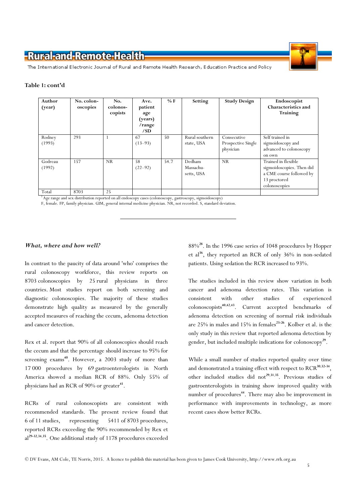

The International Electronic Journal of Rural and Remote Health Research, Education Practice and Policy

#### Table 1: cont'd

| Author<br>(year)  | No. colon-<br>oscopies | No.<br>colonos-<br>copists | Ave.<br>patient<br>age<br>(years)<br>/range<br>/SD | $%$ F | Setting                           | <b>Study Design</b>                            | Endoscopist<br><b>Characteristics and</b><br>Training                                                         |
|-------------------|------------------------|----------------------------|----------------------------------------------------|-------|-----------------------------------|------------------------------------------------|---------------------------------------------------------------------------------------------------------------|
| Rodney<br>(1993)  | 293                    |                            | 67<br>$(13-93)$                                    | 50    | Rural southern<br>state, USA      | Consecutive<br>Prospective Single<br>physician | Self trained in<br>sigmoidoscopy and<br>advanced to colonoscopy<br>on own                                     |
| Godreau<br>(1992) | 157                    | <b>NR</b>                  | 58<br>$(22 - 92)$                                  | 54.7  | Dedham<br>Massachu-<br>setts, USA | <b>NR</b>                                      | Trained in flexible<br>sigmoidoscopies. Then did<br>a CME course followed by<br>13 proctored<br>colonoscopies |
| Total             | 8703                   | 25                         |                                                    |       |                                   |                                                |                                                                                                               |

† Age range and sex distribution reported on all endoscopy cases (colonoscopy, gastroscopy, sigmoidoscopy)

F, female. FP, family physician. GIM, general internal medicine physician. NR, not recorded. S, standard deviation.

#### What, where and how well?

In contrast to the paucity of data around 'who' comprises the rural colonoscopy workforce, this review reports on 8703 colonoscopies by 25 rural physicians in three countries. Most studies report on both screening and diagnostic colonoscopies. The majority of these studies demonstrate high quality as measured by the generally accepted measures of reaching the cecum, adenoma detection and cancer detection.

Rex et al. report that 90% of all colonoscopies should reach the cecum and that the percentage should increase to 95% for screening exams<sup>40</sup>. However, a 2003 study of more than 17 000 procedures by 69 gastroenterologists in North America showed a median RCR of 88%. Only 55% of physicians had an RCR of  $90\%$  or greater $^{41}$ .

RCRs of rural colonoscopists are consistent with recommended standards. The present review found that 6 of 11 studies, representing 5411 of 8703 procedures, reported RCRs exceeding the 90% recommended by Rex et al<sup>29-32,34,35</sup>. One additional study of 1178 procedures exceeded 88%<sup>28</sup>. In the 1996 case series of 1048 procedures by Hopper et al<sup>36</sup>, they reported an RCR of only 36% in non-sedated patients. Using sedation the RCR increased to 93%.

The studies included in this review show variation in both cancer and adenoma detection rates. This variation is consistent with other studies of experienced colonoscopists<sup>40</sup>,42,<sup>43</sup>. Current accepted benchmarks of adenoma detection on screening of normal risk individuals are  $25\%$  in males and  $15\%$  in females<sup>23-26</sup>. Kolber et al. is the only study in this review that reported adenoma detection by gender, but included multiple indications for colonoscopy<sup>29</sup>.

While a small number of studies reported quality over time and demonstrated a training effect with respect to RCR<sup>30,32-34</sup>, other included studies did not<sup>29,31,35</sup>. Previous studies of gastroenterologists in training show improved quality with number of procedures<sup>44</sup>. There may also be improvement in performance with improvements in technology, as more recent cases show better RCRs.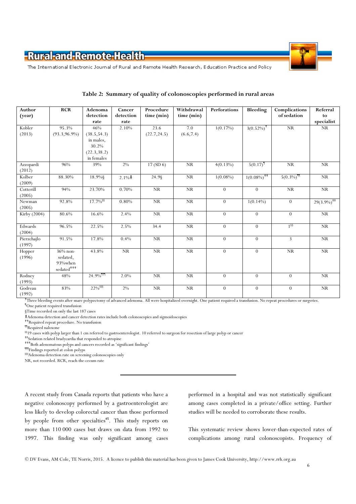

The International Electronic Journal of Rural and Remote Health Research, Education Practice and Policy

| Author<br>(year) | <b>RCR</b>                              | Adenoma<br>detection   | Cancer<br>detection    | Procedure<br>time (min) | Withdrawal<br>time (min) | <b>Perforations</b> | Bleeding                     | Complications<br>of sedation | Referral<br>to            |
|------------------|-----------------------------------------|------------------------|------------------------|-------------------------|--------------------------|---------------------|------------------------------|------------------------------|---------------------------|
|                  |                                         | rate                   | rate                   |                         |                          |                     |                              |                              | specialist                |
| Kobler           | 95.3%                                   | 46%                    | 2.10%                  | 23.6                    | 7.0                      | 1(0.17%)            | $3(0.52\%)^{\dagger}$        | NR                           | NR                        |
| (2013)           | $(93.3, 96.9\%)$                        | (38.5, 54.3)           |                        | (22.7, 24.5)            | (6.6, 7.4)               |                     |                              |                              |                           |
|                  |                                         | in males,              |                        |                         |                          |                     |                              |                              |                           |
|                  |                                         | 30.2%                  |                        |                         |                          |                     |                              |                              |                           |
|                  |                                         | (22.3, 38.2)           |                        |                         |                          |                     |                              |                              |                           |
|                  |                                         | in females             |                        |                         |                          |                     |                              |                              |                           |
| Azzopardi        | 96%                                     | 39%                    | $2\%$                  | 17(SD <sub>6</sub> )    | ${\rm NR}$               | $4(0.13\%)$         | $5(0.17)^{1}$                | <b>NR</b>                    | $\rm NR$                  |
| (2012)           |                                         |                        |                        |                         |                          |                     |                              |                              |                           |
| Kolber           | 88.30%                                  | 18.9%§                 | $2.1\%$                | 24.98                   | <b>NR</b>                | $1(0.08\%)$         | $1(0.08\%)^{\dagger\dagger}$ | $5(0.3\%)$ <sup>11</sup>     | NR                        |
| (2009)           |                                         |                        |                        |                         |                          |                     |                              |                              |                           |
| Cotterill        | 94%                                     | 23.70%                 | 0.70%                  | NR                      | <b>NR</b>                | $\overline{0}$      | $\theta$                     | <b>NR</b>                    | NR                        |
| (2005)           |                                         |                        |                        |                         |                          |                     |                              |                              |                           |
| Newman           | 92.8%                                   | $17.7\%$ <sup>§§</sup> | 0.80%                  | $\rm NR$                | $\rm NR$                 | $\overline{0}$      | $1(0.14\%)$                  | $\theta$                     | $29(3.9\%)$ <sup>##</sup> |
| (2005)           |                                         |                        |                        |                         |                          |                     |                              |                              |                           |
| Kirby (2004)     | 80.6%                                   | 16.6%                  | 2.4%                   | NR                      | <b>NR</b>                | $\overline{0}$      | $\theta$                     | $\overline{0}$               | NR                        |
|                  |                                         |                        |                        |                         |                          |                     |                              |                              |                           |
| Edwards          | 96.5%                                   | 22.5%                  | 2.5%                   | 34.4                    | $\rm NR$                 | $\theta$            | $\overline{0}$               | 1 <sup>85</sup>              | NR                        |
| (2004)           |                                         |                        |                        |                         |                          |                     |                              |                              |                           |
| Pierzchajlo      | 91.5%                                   | 17.8%                  | 0.4%                   | NR                      | NR                       | $\overline{0}$      | $\overline{0}$               | $\overline{3}$               | NR                        |
| (1997)           | 36% non-                                | 43.8%                  | $\overline{\text{NR}}$ | $\overline{\text{NR}}$  | $\overline{\text{NR}}$   | $\overline{0}$      | $\theta$                     | $\overline{\text{NR}}$       | $\overline{\text{NR}}$    |
| Hopper           |                                         |                        |                        |                         |                          |                     |                              |                              |                           |
| (1996)           | sedated,<br>93%when                     |                        |                        |                         |                          |                     |                              |                              |                           |
|                  | $\operatorname{sedated}^{\texttt{ttt}}$ |                        |                        |                         |                          |                     |                              |                              |                           |
|                  |                                         | 24.9%                  |                        |                         |                          |                     |                              |                              |                           |
| Rodney<br>(1993) | 48%                                     |                        | 2.0%                   | NR                      | <b>NR</b>                | $\overline{0}$      | $\theta$                     | $\theta$                     | NR                        |
| Godreau          | 83%                                     | 22% 888                | $2\%$                  | $\rm NR$                | <b>NR</b>                | $\theta$            | $\overline{0}$               | $\theta$                     | NR                        |
| (1992)           |                                         |                        |                        |                         |                          |                     |                              |                              |                           |

#### Table 2: Summary of quality of colonoscopies performed in rural areas

Three bleeding events after snare polypectomy of advanced adenoma. All were hospitalized overnight. One patient required a transfusion. No repeat procedures or surgeries. ¶One patient required transfusion

§Time recorded on only the last 187 cases

Adenoma detection and cancer detection rates include both colonoscopies and sigmoidoscopies

Required repeat procedure. No transfusion

¶¶Required naloxone

§§19 cases with polyp larger than 1 cm referred to gastroenterologist. 10 referred to surgeon for resection of large polyp or cancer

\*\* Sedation related bradycardia that responded to atropine

Both adenomatous polyps and cancers recorded as 'significant findings'

¶¶¶Findings reported at colon polyps

§§§Adenoma detection rate on screening colonoscopies only

NR, not recorded. RCR, reach-the-cecum rate

A recent study from Canada reports that patients who have a negative colonoscopy performed by a gastroenterologist are less likely to develop colorectal cancer than those performed by people from other specialties<sup>45</sup>. This study reports on more than 110 000 cases but draws on data from 1992 to 1997. This finding was only significant among cases performed in a hospital and was not statistically significant among cases completed in a private/office setting. Further studies will be needed to corroborate these results.

This systematic review shows lower-than-expected rates of complications among rural colonoscopists. Frequency of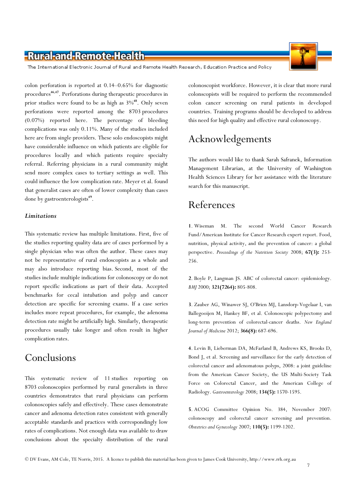The International Electronic Journal of Rural and Remote Health Research, Education Practice and Policy

colon perforation is reported at 0.14–0.65% for diagnostic procedures<sup>46,47</sup>. Perforations during therapeutic procedures in prior studies were found to be as high as  $3\%^{48}$ . Only seven perforations were reported among the 8703 procedures (0.07%) reported here. The percentage of bleeding complications was only 0.11%. Many of the studies included here are from single providers. These solo endoscopists might have considerable influence on which patients are eligible for procedures locally and which patients require specialty referral. Referring physicians in a rural community might send more complex cases to tertiary settings as well. This could influence the low complication rate. Meyer et al. found that generalist cases are often of lower complexity than cases done by gastroenterologists<sup>49</sup>.

#### Limitations

This systematic review has multiple limitations. First, five of the studies reporting quality data are of cases performed by a single physician who was often the author. These cases may not be representative of rural endoscopists as a whole and may also introduce reporting bias. Second, most of the studies include multiple indications for colonoscopy or do not report specific indications as part of their data. Accepted benchmarks for cecal intubation and polyp and cancer detection are specific for screening exams. If a case series includes more repeat procedures, for example, the adenoma detection rate might be artificially high. Similarly, therapeutic procedures usually take longer and often result in higher complication rates.

### Conclusions

This systematic review of 11 studies reporting on 8703 colonoscopies performed by rural generalists in three countries demonstrates that rural physicians can perform colonoscopies safely and effectively. These cases demonstrate cancer and adenoma detection rates consistent with generally acceptable standards and practices with correspondingly low rates of complications. Not enough data was available to draw conclusions about the specialty distribution of the rural colonoscopist workforce. However, it is clear that more rural colonscopists will be required to perform the recommended colon cancer screening on rural patients in developed countries. Training programs should be developed to address this need for high quality and effective rural colonoscopy.

### Acknowledgements

The authors would like to thank Sarah Safranek, Information Management Librarian, at the University of Washington Health Sciences Library for her assistance with the literature search for this manuscript.

### References

1. Wiseman M. The second World Cancer Research Fund/American Institute for Cancer Research expert report. Food, nutrition, physical activity, and the prevention of cancer: a global perspective. Proceedings of the Nutrition Society 2008; 67(3): 253-256.

2. Boyle P, Langman JS. ABC of colorectal cancer: epidemiology. BMJ 2000; 321(7264): 805-808.

3. Zauber AG, Winawer SJ, O'Brien MJ, Lansdorp-Vogelaar I, van Ballegooijen M, Hankey BF, et al. Colonoscopic polypectomy and long-term prevention of colorectal-cancer deaths. New England Journal of Medicine 2012; 366(8): 687-696.

4. Levin B, Lieberman DA, McFarland B, Andrews KS, Brooks D, Bond J, et al. Screening and surveillance for the early detection of colorectal cancer and adenomatous polyps, 2008: a joint guideline from the American Cancer Society, the US Multi-Society Task Force on Colorectal Cancer, and the American College of Radiology. Gastroenterology 2008; 134(5): 1570-1595.

5. ACOG Committee Opinion No. 384, November 2007: colonoscopy and colorectal cancer screening and prevention. Obstetrics and Gynecology 2007; 110(5): 1199-1202.



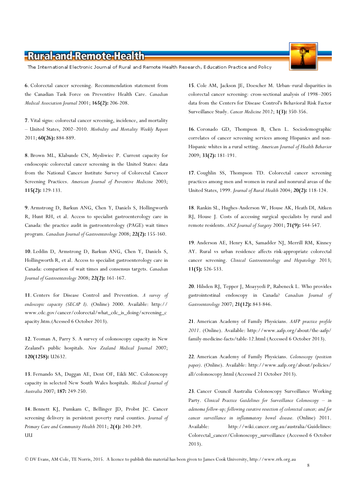The International Electronic Journal of Rural and Remote Health Research, Education Practice and Policy

6. Colorectal cancer screening. Recommendation statement from the Canadian Task Force on Preventive Health Care. Canadian Medical Association Journal 2001; 165(2): 206-208.

7. Vital signs: colorectal cancer screening, incidence, and mortality – United States, 2002–2010. Morbidity and Mortality Weekly Report 2011; 60(26): 884-889.

8. Brown ML, Klabunde CN, Mysliwiec P. Current capacity for endoscopic colorectal cancer screening in the United States: data from the National Cancer Institute Survey of Colorectal Cancer Screening Practices. American Journal of Preventive Medicine 2003; 115(2): 129-133.

9. Armstrong D, Barkun ANG, Chen Y, Daniels S, Hollingworth R, Hunt RH, et al. Access to specialist gastroenterology care in Canada: the practice audit in gastroenterology (PAGE) wait times program. Canadian Journal of Gastroenterology 2008; 22(2): 155-160.

10. Leddin D, Armstrong D, Barkun ANG, Chen Y, Daniels S, Hollingworth R, et al. Access to specialist gastroenterology care in Canada: comparison of wait times and consensus targets. Canadian Journal of Gastroenterology 2008; 22(2): 161-167.

11. Centers for Disease Control and Prevention. A survey of endoscopic capacity (SECAP I). (Online) 2000. Available: http:// www.cdc.gov/cancer/colorectal/what\_cdc\_is\_doing/screening\_c apacity.htm.(Acessed 6 October 2013).

12. Yeoman A, Parry S. A survey of colonoscopy capacity in New Zealand's public hospitals. New Zealand Medical Journal 2007; 120(1258): U2632.

13. Fernando SA, Duggan AE, Dent OF, Eikli MC. Colonoscopy capacity in selected New South Wales hospitals. Medical Journal of Australia 2007; 187: 249-250.

14. Bennett KJ, Pumkam C, Bellinger JD, Probst JC. Cancer screening delivery in persistent poverty rural counties. Journal of Primary Care and Community Health 2011; 2(4): 240-249. UU

15. Cole AM, Jackson JE, Doescher M. Urban–rural disparities in colorectal cancer screening: cross-sectional analysis of 1998–2005 data from the Centers for Disease Control's Behavioral Risk Factor Surveillance Study. Cancer Medicine 2012; 1(3): 350-356.

16. Coronado GD, Thompson B, Chen L. Sociodemographic correlates of cancer screening services among Hispanics and non-Hispanic whites in a rural setting. American Journal of Health Behavior 2009; 33(2): 181-191.

17. Coughlin SS, Thompson TD. Colorectal cancer screening practices among men and women in rural and nonrural areas of the United States, 1999. Journal of Rural Health 2004; 20(2): 118-124.

18. Rankin SL, Hughes-Anderson W, House AK, Heath DI, Aitken RJ, House J. Costs of accessing surgical specialists by rural and remote residents. ANZ Journal of Surgery 2001; 71(9): 544-547.

19. Anderson AE, Henry KA, Samadder NJ, Merrill RM, Kinney AY. Rural vs urban residence affects risk-appropriate colorectal cancer screening. Clinical Gastroenterology and Hepatology 2013; 11(5): 526-533.

20. Hilsden RJ, Tepper J, Moayyedi P, Rabeneck L. Who provides gastrointestinal endoscopy in Canada? Canadian Journal of Gastroenterology 2007; 21(12): 843-846.

21. American Academy of Family Physicians. AAFP practice profile 2011. (Online). Available: http://www.aafp.org/about/the-aafp/ family-medicine-facts/table-12.html (Accessed 6 October 2013).

22. American Academy of Family Physicians. Colonoscopy (position paper). (Online). Available: http://www.aafp.org/about/policies/ all/colonoscopy.html (Accessed 21 October 2013).

23. Cancer Council Australia Colonoscopy Surveillance Working Party. Clinical Practice Guidelines for Surveillance Colonoscopy - in adenoma follow-up; following curative resection of colorectal cancer; and for cancer surveillance in inflammatory bowel disease. (Online) 2011. Available: http://wiki.cancer.org.au/australia/Guidelines: Colorectal\_cancer/Colonoscopy\_surveillance (Accessed 6 October 2013).



8

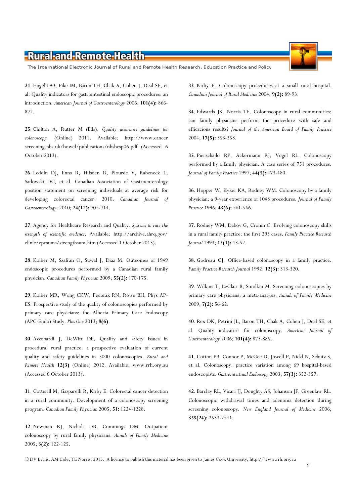The International Electronic Journal of Rural and Remote Health Research, Education Practice and Policy

24. Faigel DO, Pike IM, Baron TH, Chak A, Cohen J, Deal SE, et al. Quality indicators for gastrointestinal endoscopic procedures: an introduction. American Journal of Gastroenterology 2006; 101(4): 866- 872.

25. Chilton A, Rutter M (Eds). Quality assurance guidelines for colonoscopy. (Online) 2011. Available: http://www.cancer screening.nhs.uk/bowel/publications/nhsbcsp06.pdf (Accessed 6 October 2013).

26. Leddin DJ, Enns R, Hilsden R, Plourde V, Rabeneck L, Sadowski DC, et al. Canadian Association of Gastroenterology position statement on screening individuals at average risk for developing colorectal cancer: 2010. Canadian Journal of Gastroenterology. 2010; 24(12): 705-714.

27. Agency for Healthcare Research and Quality. Systems to rate the strength of scientific evidence. Available: http://archive.ahrq.gov/ clinic/epcsums/strengthsum.htm (Accessed 1 October 2013).

28. Kolber M, Szafran O, Suwal J, Diaz M. Outcomes of 1949 endoscopic procedures performed by a Canadian rural family physician. Canadian Family Physician 2009; 55(2): 170-175.

29. Kolber MR, Wong CKW, Fedorak RN, Rowe BH, Phys AP-ES. Prospective study of the quality of colonoscopies performed by primary care physicians: the Alberta Primary Care Endoscopy (APC-Endo) Study. Plos One 2013; 8(6).

30. Azzopardi J, DeWitt DE. Quality and safety issues in procedural rural practice: a prospective evaluation of current quality and safety guidelines in 3000 colonoscopies. Rural and Remote Health 12(3) (Online) 2012. Available: www.rrh.org.au (Accessed 6 October 2013).

31. Cotterill M, Gasparelli R, Kirby E. Colorectal cancer detection in a rural community. Development of a colonoscopy screening program. Canadian Family Physician 2005; 51: 1224-1228.

32. Newman RJ, Nichols DB, Cummings DM. Outpatient colonoscopy by rural family physicians. Annals of Family Medicine 2005; 3(2): 122-125.

33. Kirby E. Colonoscopy procedures at a small rural hospital. Canadian Journal of Rural Medicine 2004; 9(2): 89-93.

34. Edwards JK, Norris TE. Colonoscopy in rural communities: can family physicians perform the procedure with safe and efficacious results? Journal of the American Board of Family Practice 2004; 17(5): 353-358.

35. Pierzchajlo RP, Ackermann RJ, Vogel RL. Colonoscopy performed by a family physician. A case series of 751 procedures. Journal of Family Practice 1997; 44(5): 473-480.

36. Hopper W, Kyker KA, Rodney WM. Colonoscopy by a family physician: a 9-year experience of 1048 procedures. Journal of Family Practice 1996; 43(6): 561-566.

37. Rodney WM, Dabov G, Cronin C. Evolving colonoscopy skills in a rural family practice: the first 293 cases. Family Practice Research Journal 1993; 13(1): 43-52.

38. Godreau CJ. Office-based colonoscopy in a family practice. Family Practice Research Journal 1992; 12(3): 313-320.

39. Wilkins T, LeClair B, Smolkin M. Screening colonoscopies by primary care physicians: a meta-analysis. Annals of Family Medicine 2009; 7(2): 56-62.

40. Rex DK, Petrini JL, Baron TH, Chak A, Cohen J, Deal SE, et al. Quality indicators for colonoscopy. American Journal of Gastroenterology 2006; 101(4): 873-885.

41. Cotton PB, Connor P, McGee D, Jowell P, Nickl N, Schutz S, et al. Colonoscopy: practice variation among 69 hospital-based endoscopists. Gastrointestinal Endoscopy 2003; 57(3): 352-357.

42. Barclay RL, Vicari JJ, Doughty AS, Johanson JF, Greenlaw RL. Colonoscopic withdrawal times and adenoma detection during screening colonoscopy. New England Journal of Medicine 2006; 355(24): 2533-2541.

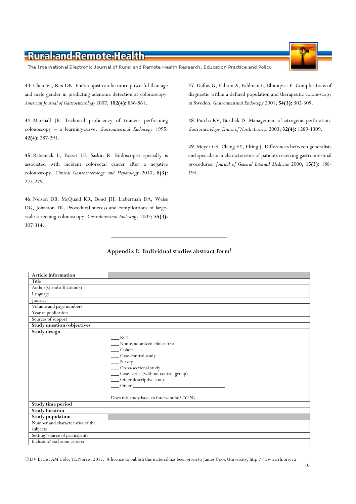The International Electronic Journal of Rural and Remote Health Research, Education Practice and Policy

43. Chen SC, Rex DK. Endoscopist can be more powerful than age and male gender in predicting adenoma detection at colonoscopy. American Journal of Gastroenterology 2007; 102(4): 856-861.

44. Marshall JB. Technical proficiency of trainees performing colonoscopy – a learning-curve. Gastrointestinal Endoscopy 1995; 42(4): 287-291.

45. Rabeneck L, Paszat LF, Saskin R. Endoscopist specialty is associated with incident colorectal cancer after a negative colonoscopy. Clinical Gastroenterology and Hepatology 2010; 8(3): 275-279.

46. Nelson DB, McQuaid KR, Bond JH, Lieberman DA, Weiss DG, Johnston TK. Procedural success and complications of largescale screening colonoscopy. Gastrointestinal Endoscopy 2002; 55(3): 307-314.

47. Dafnis G, Ekbom A, Pahlman L, Blomqvist P. Complications of diagnostic within a defined population and therapeutic colonoscopy in Sweden. Gastrointestinal Endoscopy 2001; 54(3): 302-309.

48. Putcha RV, Burdick JS. Management of iatrogenic perforation. Gastroenterology Clinics of North America 2003; 32(4): 1289-1309.

49. Meyer GS, Cheng EY, Elting J. Differences between generalists and specialists in characteristics of patients receiving gastrointestinal procedures. Journal of General Internal Medicine 2000; 15(3): 188-194.

#### Appendix I: Individual studies abstract form†

| <b>Article information</b>        |                                                                                                                                                                                                                                                                                               |
|-----------------------------------|-----------------------------------------------------------------------------------------------------------------------------------------------------------------------------------------------------------------------------------------------------------------------------------------------|
| Title                             |                                                                                                                                                                                                                                                                                               |
| Author(s) and affiliation(s)      |                                                                                                                                                                                                                                                                                               |
| Language                          |                                                                                                                                                                                                                                                                                               |
| Journal                           |                                                                                                                                                                                                                                                                                               |
| Volume and page numbers           |                                                                                                                                                                                                                                                                                               |
| Year of publication               |                                                                                                                                                                                                                                                                                               |
| Sources of support                |                                                                                                                                                                                                                                                                                               |
| <b>Study question/objectives</b>  |                                                                                                                                                                                                                                                                                               |
| Study design                      | <b>RCT</b><br>Non-randomized clinical trial<br>_Cohort<br>__ Case-control study<br>$\frac{S_{\text{urvey}}}{S_{\text{urvey}}}$<br>___ Cross-sectional study<br>__ Case-series (without control group)<br>__ Other descriptive study<br>Other<br>Does this study have an intervention? $(Y/N)$ |
| Study time period                 |                                                                                                                                                                                                                                                                                               |
| <b>Study location</b>             |                                                                                                                                                                                                                                                                                               |
| <b>Study population</b>           |                                                                                                                                                                                                                                                                                               |
| Number and characteristics of the |                                                                                                                                                                                                                                                                                               |
| subjects                          |                                                                                                                                                                                                                                                                                               |
| Setting/source of participants    |                                                                                                                                                                                                                                                                                               |
| Inclusion/exclusion criteria      |                                                                                                                                                                                                                                                                                               |

© DV Evans, AM Cole, TE Norris, 2015. A licence to publish this material has been given to James Cook University, http://www.rrh.org.au

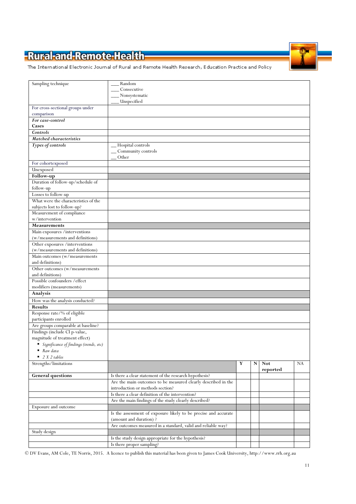The International Electronic Journal of Rural and Remote Health Research, Education Practice and Policy

| Sampling technique                                                    | Random                                                          |   |   |            |    |
|-----------------------------------------------------------------------|-----------------------------------------------------------------|---|---|------------|----|
|                                                                       | Consecutive                                                     |   |   |            |    |
|                                                                       | Nonsystematic                                                   |   |   |            |    |
|                                                                       | Unspecified                                                     |   |   |            |    |
|                                                                       |                                                                 |   |   |            |    |
| For cross-sectional groups under                                      |                                                                 |   |   |            |    |
| comparison                                                            |                                                                 |   |   |            |    |
| For case-control                                                      |                                                                 |   |   |            |    |
| Cases                                                                 |                                                                 |   |   |            |    |
| Controls                                                              |                                                                 |   |   |            |    |
|                                                                       |                                                                 |   |   |            |    |
| Matched characteristics                                               |                                                                 |   |   |            |    |
| Types of controls                                                     | Hospital controls                                               |   |   |            |    |
|                                                                       | Community controls                                              |   |   |            |    |
|                                                                       | Other                                                           |   |   |            |    |
|                                                                       |                                                                 |   |   |            |    |
| For cohortexposed                                                     |                                                                 |   |   |            |    |
| Unexposed                                                             |                                                                 |   |   |            |    |
| Follow-up                                                             |                                                                 |   |   |            |    |
| Duration of follow-up/schedule of                                     |                                                                 |   |   |            |    |
| follow-up                                                             |                                                                 |   |   |            |    |
| Losses to follow-up                                                   |                                                                 |   |   |            |    |
|                                                                       |                                                                 |   |   |            |    |
| What were the characteristics of the                                  |                                                                 |   |   |            |    |
| subjects lost to follow-up?                                           |                                                                 |   |   |            |    |
| Measurement of compliance                                             |                                                                 |   |   |            |    |
| w/intervention                                                        |                                                                 |   |   |            |    |
|                                                                       |                                                                 |   |   |            |    |
| <b>Measurements</b>                                                   |                                                                 |   |   |            |    |
| Main exposures /interventions                                         |                                                                 |   |   |            |    |
| (w/measurements and definitions)                                      |                                                                 |   |   |            |    |
| Other exposures /interventions                                        |                                                                 |   |   |            |    |
| (w/measurements and definitions)                                      |                                                                 |   |   |            |    |
|                                                                       |                                                                 |   |   |            |    |
| Main outcomes (w/measurements                                         |                                                                 |   |   |            |    |
| and definitions)                                                      |                                                                 |   |   |            |    |
| Other outcomes (w/measurements                                        |                                                                 |   |   |            |    |
| and definitions)                                                      |                                                                 |   |   |            |    |
| Possible confounders / effect                                         |                                                                 |   |   |            |    |
|                                                                       |                                                                 |   |   |            |    |
| modifiers (measurements)                                              |                                                                 |   |   |            |    |
| Analysis                                                              |                                                                 |   |   |            |    |
| How was the analysis conducted?                                       |                                                                 |   |   |            |    |
| <b>Results</b>                                                        |                                                                 |   |   |            |    |
|                                                                       |                                                                 |   |   |            |    |
| Response rate/% of eligible                                           |                                                                 |   |   |            |    |
| participants enrolled                                                 |                                                                 |   |   |            |    |
| Are groups comparable at baseline?                                    |                                                                 |   |   |            |    |
| Findings (include CI p-value,                                         |                                                                 |   |   |            |    |
|                                                                       |                                                                 |   |   |            |    |
| magnitude of treatment effect)                                        |                                                                 |   |   |            |    |
| $\quad \bullet \quad Significance \; of findings \; (trends, \; etc)$ |                                                                 |   |   |            |    |
| $\blacksquare$ Raw data                                               |                                                                 |   |   |            |    |
| $\blacksquare$ 2 X 2 tables                                           |                                                                 |   |   |            |    |
| Strengths/limitations                                                 |                                                                 | Y | N | <b>Not</b> | NA |
|                                                                       |                                                                 |   |   |            |    |
|                                                                       |                                                                 |   |   | reported   |    |
| <b>General questions</b>                                              |                                                                 |   |   |            |    |
|                                                                       | Is there a clear statement of the research hypothesis?          |   |   |            |    |
|                                                                       | Are the main outcomes to be measured clearly described in the   |   |   |            |    |
|                                                                       |                                                                 |   |   |            |    |
|                                                                       | introduction or methods section?                                |   |   |            |    |
|                                                                       | Is there a clear definition of the intervention?                |   |   |            |    |
|                                                                       | Are the main findings of the study clearly described?           |   |   |            |    |
| Exposure and outcome                                                  |                                                                 |   |   |            |    |
|                                                                       |                                                                 |   |   |            |    |
|                                                                       | Is the assessment of exposure likely to be precise and accurate |   |   |            |    |
|                                                                       | (amount and duration)?                                          |   |   |            |    |
|                                                                       | Are outcomes measured in a standard, valid and reliable way?    |   |   |            |    |
| Study design                                                          |                                                                 |   |   |            |    |
|                                                                       | Is the study design appropriate for the hypothesis?             |   |   |            |    |
|                                                                       | Is there proper sampling?                                       |   |   |            |    |

© DV Evans, AM Cole, TE Norris, 2015. A licence to publish this material has been given to James Cook University, http://www.rrh.org.au